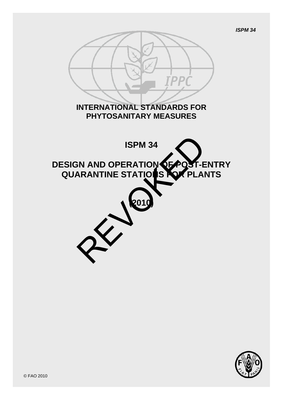

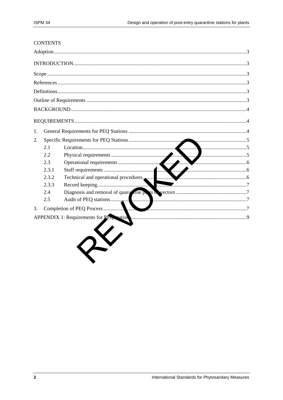#### **CONTENTS**

| 1. |       |                                            |  |  |  |  |  |
|----|-------|--------------------------------------------|--|--|--|--|--|
| 2. |       |                                            |  |  |  |  |  |
|    | 2.1   |                                            |  |  |  |  |  |
|    | 2.2   |                                            |  |  |  |  |  |
|    | 2.3   |                                            |  |  |  |  |  |
|    | 2.3.1 |                                            |  |  |  |  |  |
|    | 2.3.2 |                                            |  |  |  |  |  |
|    | 2.3.3 |                                            |  |  |  |  |  |
|    | 2.4   |                                            |  |  |  |  |  |
|    | 2.5   |                                            |  |  |  |  |  |
| 3. |       | Completion of PEQ Process<br>7<br><b>.</b> |  |  |  |  |  |
|    |       |                                            |  |  |  |  |  |
|    |       |                                            |  |  |  |  |  |
|    |       |                                            |  |  |  |  |  |
|    |       |                                            |  |  |  |  |  |
|    |       |                                            |  |  |  |  |  |
|    |       |                                            |  |  |  |  |  |
|    |       |                                            |  |  |  |  |  |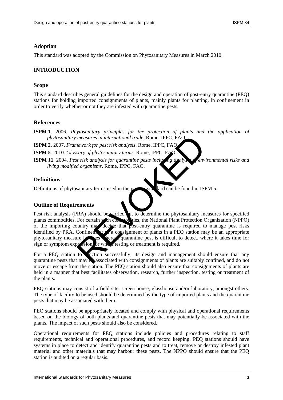### <span id="page-2-0"></span>**Adoption**

This standard was adopted by the Commission on Phytosanitary Measures in March 2010.

### <span id="page-2-1"></span>**INTRODUCTION**

#### <span id="page-2-2"></span>**Scope**

This standard describes general guidelines for the design and operation of post-entry quarantine (PEQ) stations for holding imported consignments of plants, mainly plants for planting, in confinement in order to verify whether or not they are infested with quarantine pests.

#### <span id="page-2-3"></span>**References**

**ISPM 1**. 2006. *Phytosanitary principles for the protection of plants and the application of phytosanitary measures in international trade*. Rome, IPPC, FAO.

**ISPM 2**. 2007. *Framework for pest risk analysis*. Rome, IPPC, FAO.

**ISPM 5**. 2010. *Glossary of phytosanitary terms*. Rome, IPPC, FA

**ISPM 11**. 2004. *Pest risk analysis for quarantine pests including analysis convironmental risks and living modified organisms*. Rome, IPPC, FAO.

### <span id="page-2-4"></span>**Definitions**

Definitions of phytosanitary terms used in the present standard can be found in ISPM 5.

### <span id="page-2-5"></span>**Outline of Requirements**

Pest risk analysis (PRA) should be earried at to determine the phytosanitary measures for specified plants commodities. For certain such composities, the National Plant Protection Organization (NPPO) of the importing country may decide that post-entry quarantine is required to manage pest risks identified by PRA. Confinement of a consignment of plants in a PEQ station may be an appropriate phytosanitary measure in cases where quarantine pest is difficult to detect, where it takes time for sign or symptom expression, or where testing or treatment is required. measures in international trade. Rome, IPPC, FAO<br>
sary of phytosanitary terms. Rome, IPPC, FAO<br>
sary of phytosanitary terms. Rome, IPPC, FAO<br>
t risk analysis for quarantine pests includes<br>
dorganisms. Rome, IPPC, FAO.<br>
dor

For a PEO station to function successfully, its design and management should ensure that any quarantine pests that may be associated with consignments of plants are suitably confined, and do not move or escape from the station. The PEQ station should also ensure that consignments of plants are held in a manner that best facilitates observation, research, further inspection, testing or treatment of the plants.

PEQ stations may consist of a field site, screen house, glasshouse and/or laboratory, amongst others. The type of facility to be used should be determined by the type of imported plants and the quarantine pests that may be associated with them.

PEQ stations should be appropriately located and comply with physical and operational requirements based on the biology of both plants and quarantine pests that may potentially be associated with the plants. The impact of such pests should also be considered.

Operational requirements for PEQ stations include policies and procedures relating to staff requirements, technical and operational procedures, and record keeping. PEQ stations should have systems in place to detect and identify quarantine pests and to treat, remove or destroy infested plant material and other materials that may harbour these pests. The NPPO should ensure that the PEQ station is audited on a regular basis.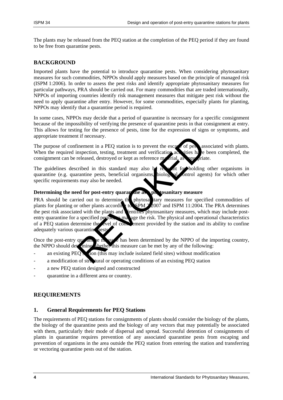The plants may be released from the PEQ station at the completion of the PEQ period if they are found to be free from quarantine pests.

## <span id="page-3-0"></span>**BACKGROUND**

Imported plants have the potential to introduce quarantine pests. When considering phytosanitary measures for such commodities, NPPOs should apply measures based on the principle of managed risk (ISPM 1:2006). In order to assess the pest risks and identify appropriate phytosanitary measures for particular pathways, PRA should be carried out. For many commodities that are traded internationally, NPPOs of importing countries identify risk management measures that mitigate pest risk without the need to apply quarantine after entry. However, for some commodities, especially plants for planting, NPPOs may identify that a quarantine period is required.

In some cases, NPPOs may decide that a period of quarantine is necessary for a specific consignment because of the impossibility of verifying the presence of quarantine pests in that consignment at entry. This allows for testing for the presence of pests, time for the expression of signs or symptoms, and appropriate treatment if necessary.

The purpose of confinement in a PEQ station is to prevent the escape of pests associated with plants. When the required inspection, testing, treatment and verification activities have been completed, the consignment can be released, destroyed or kept as reference  $m$  crial, as appropriate.

The guidelines described in this standard may also be relevant for holding other organisms in quarantine (e.g. quarantine pests, beneficial organisms, biology all ontrol agents) for which other specific requirements may also be needed.

#### **Determining the need for post-entry quarantine as phytosanitary measure**

PRA should be carried out to determine the phytosanitary measures for specified commodities of plants for planting or other plants according to  $\overline{SPM}$  2.2007 and ISPM 11:2004. The PRA determines the pest risk associated with the plants and lentifies phytosanitary measures, which may include postentry quarantine for a specified period, is may age the risk. The physical and operational characteristics of a PEQ station determine the level of configuration provided by the station and its ability to confine adequately various quarantine pest The method is to prevent the escale of pesons<br>aspection, testing, treatment and verification accritics have<br>released, destroyed or kept as reference method as a per-<br>price as reference method in this standard may also be r

Once the post-entry quarantine measure has been determined by the NPPO of the importing country, the NPPO should determine whether this measure can be met by any of the following:

- an existing  $PEO_s$  (ion (this may include isolated field sites) without modification
- a modification of structural or operating conditions of an existing PEQ station
- a new PEQ station designed and constructed
- quarantine in a different area or country.

# <span id="page-3-1"></span>**REQUIREMENTS**

### <span id="page-3-2"></span>**1. General Requirements for PEQ Stations**

The requirements of PEQ stations for consignments of plants should consider the biology of the plants, the biology of the quarantine pests and the biology of any vectors that may potentially be associated with them, particularly their mode of dispersal and spread. Successful detention of consignments of plants in quarantine requires prevention of any associated quarantine pests from escaping and prevention of organisms in the area outside the PEQ station from entering the station and transferring or vectoring quarantine pests out of the station.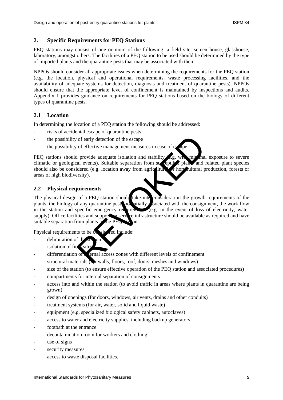#### <span id="page-4-0"></span>**2. Specific Requirements for PEQ Stations**

PEQ stations may consist of one or more of the following: a field site, screen house, glasshouse, laboratory, amongst others. The facilities of a PEQ station to be used should be determined by the type of imported plants and the quarantine pests that may be associated with them.

NPPOs should consider all appropriate issues when determining the requirements for the PEQ station (e.g. the location, physical and operational requirements, waste processing facilities, and the availability of adequate systems for detection, diagnosis and treatment of quarantine pests). NPPOs should ensure that the appropriate level of confinement is maintained by inspections and audits. Appendix 1 provides guidance on requirements for PEQ stations based on the biology of different types of quarantine pests.

### <span id="page-4-1"></span>**2.1 Location**

In determining the location of a PEQ station the following should be addressed:

- risks of accidental escape of quarantine pests
- the possibility of early detection of the escape
- the possibility of effective management measures in case of e

PEQ stations should provide adequate isolation and stability  $\ell$ .g. with minimal exposure to severe climatic or geological events). Suitable separation from succeptible plants and related plant species should also be considered (e.g. location away from agricultural  $\mathcal{F}$  horticultural production, forests or areas of high biodiversity).

## <span id="page-4-2"></span>**2.2 Physical requirements**

The physical design of a PEQ station should take into consideration the growth requirements of the plants, the biology of any quarantine pests potentially associated with the consignment, the work flow in the station and specific emergency requirement (e.g. in the event of loss of electricity, water  $i$ irem $\epsilon$  e.g. in the event of loss of electricity, water supply). Office facilities and supporting service infrastructure should be available as required and have suitable separation from plants  $\frac{1}{2}$  the PEQ station. of early detection of the escape<br>
of effective management measures in case of exape.<br>
1 provide adequate isolation and stability<br>
al events). Suitable separation from succeptibe plans, and<br>
dered (e.g. location away from a

Physical requirements to be  $\cos(\theta)$  red include:

- delimitation of the
- isolation of field site
- $d$  differentiation of  $\chi$  internal access zones with different levels of confinement
- structural materials  $\overline{(N)}$  walls, floors, roof, doors, meshes and windows)
- size of the station (to ensure effective operation of the PEO station and associated procedures)
- compartments for internal separation of consignments
- access into and within the station (to avoid traffic in areas where plants in quarantine are being grown)
- design of openings (for doors, windows, air vents, drains and other conduits)
- treatment systems (for air, water, solid and liquid waste)
- equipment (e.g. specialized biological safety cabinets, autoclaves)
- access to water and electricity supplies, including backup generators
- footbath at the entrance
- decontamination room for workers and clothing
- use of signs
- security measures
- access to waste disposal facilities.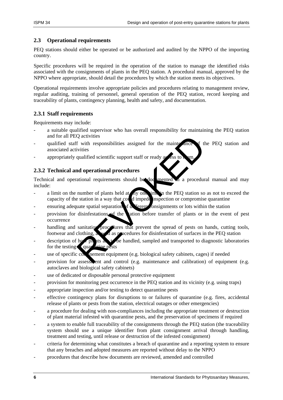### <span id="page-5-0"></span>**2.3 Operational requirements**

PEQ stations should either be operated or be authorized and audited by the NPPO of the importing country.

Specific procedures will be required in the operation of the station to manage the identified risks associated with the consignments of plants in the PEQ station. A procedural manual, approved by the NPPO where appropriate, should detail the procedures by which the station meets its objectives.

Operational requirements involve appropriate policies and procedures relating to management review, regular auditing, training of personnel, general operation of the PEQ station, record keeping and traceability of plants, contingency planning, health and safety, and documentation.

# <span id="page-5-1"></span>**2.3.1 Staff requirements**

Requirements may include:

- a suitable qualified supervisor who has overall responsibility for maintaining the PEQ station and for all PEQ activities
- qualified staff with responsibilities assigned for the mainte ance of the PEQ station and associated activities
- appropriately qualified scientific support staff or ready a

## <span id="page-5-2"></span>**2.3.2 Technical and operational procedures**

Technical and operational requirements should be documented in a procedural manual and may include:

- a limit on the number of plants held at any one time in the PEQ station so as not to exceed the capacity of the station in a way that could impede inspection or compromise quarantine
- ensuring adequate spatial separation of  $\alpha$  ferent consignments or lots within the station
- provision for disinfestations of the station before transfer of plants or in the event of pest occurrence Q activities<br>
in with responsibilities assigned for the maints ance<br>
invities<br>
qualified scientific support staff or ready assess to a sm.<br>
and operational procedures<br>
ational requirements should be documented a a procedur
- handling and sanitation procedures that prevent the spread of pests on hands, cutting tools, footwear and clothing, as well as procedures for disinfestation of surfaces in the PEQ station
- description of how plants are to be handled, sampled and transported to diagnostic laboratories for the testing
- use of specific confinement equipment (e.g. biological safety cabinets, cages) if needed
- provision for assessment and control (e.g. maintenance and calibration) of equipment (e.g. autoclaves and biological safety cabinets)
- use of dedicated or disposable personal protective equipment
- provision for monitoring pest occurrence in the PEQ station and its vicinity (e.g. using traps)
- appropriate inspection and/or testing to detect quarantine pests
- effective contingency plans for disruptions to or failures of quarantine (e.g. fires, accidental release of plants or pests from the station, electrical outages or other emergencies)
- a procedure for dealing with non-compliances including the appropriate treatment or destruction of plant material infested with quarantine pests, and the preservation of specimens if required
- a system to enable full traceability of the consignments through the PEQ station (the traceability system should use a unique identifier from plant consignment arrival through handling, treatment and testing, until release or destruction of the infested consignment)
- criteria for determining what constitutes a breach of quarantine and a reporting system to ensure that any breaches and adopted measures are reported without delay to the NPPO
- procedures that describe how documents are reviewed, amended and controlled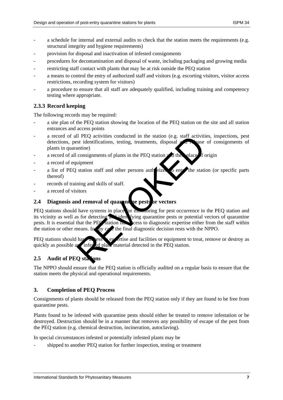- a schedule for internal and external audits to check that the station meets the requirements (e.g. structural integrity and hygiene requirements)
- provision for disposal and inactivation of infested consignments
- procedures for decontamination and disposal of waste, including packaging and growing media
- restricting staff contact with plants that may be at risk outside the PEQ station
- a means to control the entry of authorized staff and visitors (e.g. escorting visitors, visitor access restrictions, recording system for visitors)
- a procedure to ensure that all staff are adequately qualified, including training and competency testing where appropriate.

## <span id="page-6-0"></span>**2.3.3 Record keeping**

The following records may be required:

- a site plan of the PEQ station showing the location of the PEQ station on the site and all station entrances and access points
- a record of all PEQ activities conducted in the station (e.g. staff activities, inspections, pest detections, pest identifications, testing, treatments, disposal  $\alpha$  release of consignments of plants in quarantine)
- a record of all consignments of plants in the PEQ station  $\alpha$  d the place of origin
- a record of equipment
- a list of PEQ station staff and other persons authorized to enter the station (or specific parts thereof)
- records of training and skills of staff.
- a record of visitors

### <span id="page-6-1"></span>**2.4 Diagnosis and removal of quarantine pests or vectors**

PEQ stations should have systems in place for mometing for pest occurrence in the PEQ station and its vicinity as well as for detecting and identifying quarantine pests or potential vectors of quarantine pests. It is essential that the PEQ station has access to diagnostic expertise either from the staff within the station or other means. In any  $c_2$  the final diagnostic decision rests with the NPPO. Il PEQ activities conducted in the station (e.g. staff activities identifications, testing, treatments, disposal and the values of plants in the PEQ station and the values of plants in the PEQ station and the values of pla

PEQ stations should have access to expertise and facilities or equipment to treat, remove or destroy as quickly as possible any infested plant material detected in the PEQ station.

# <span id="page-6-2"></span>**2.5 Audit of PEQ stations**

The NPPO should ensure that the PEQ station is officially audited on a regular basis to ensure that the station meets the physical and operational requirements.

### <span id="page-6-3"></span>**3. Completion of PEQ Process**

Consignments of plants should be released from the PEQ station only if they are found to be free from quarantine pests.

Plants found to be infested with quarantine pests should either be treated to remove infestation or be destroyed. Destruction should be in a manner that removes any possibility of escape of the pest from the PEQ station (e.g. chemical destruction, incineration, autoclaving).

In special circumstances infested or potentially infested plants may be

shipped to another PEQ station for further inspection, testing or treatment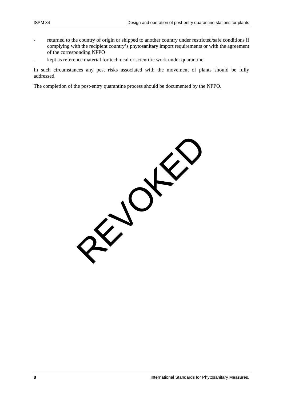- returned to the country of origin or shipped to another country under restricted/safe conditions if complying with the recipient country's phytosanitary import requirements or with the agreement of the corresponding NPPO
- kept as reference material for technical or scientific work under quarantine.

In such circumstances any pest risks associated with the movement of plants should be fully addressed.

The completion of the post-entry quarantine process should be documented by the NPPO.

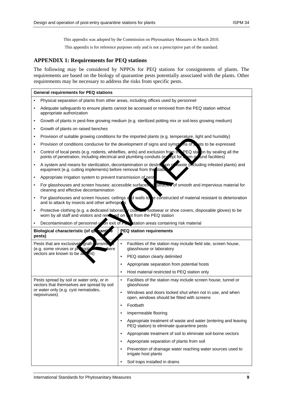٦

This appendix was adopted by the Commission on Phytosanitary Measures in March 2010.

This appendix is for reference purposes only and is not a prescriptive part of the standard.

#### <span id="page-8-0"></span>**APPENDIX 1: Requirements for PEQ stations**

The following may be considered by NPPOs for PEQ stations for consignments of plants. The requirements are based on the biology of quarantine pests potentially associated with the plants. Other requirements may be necessary to address the risks from specific pests.

### **General requirements for PEQ stations**

| $\bullet$ |                                                                                                                                                                                                                         | Physical separation of plants from other areas, including offices used by personnel                                       |  |  |  |  |  |
|-----------|-------------------------------------------------------------------------------------------------------------------------------------------------------------------------------------------------------------------------|---------------------------------------------------------------------------------------------------------------------------|--|--|--|--|--|
| $\bullet$ | Adequate safeguards to ensure plants cannot be accessed or removed from the PEQ station without<br>appropriate authorization                                                                                            |                                                                                                                           |  |  |  |  |  |
| $\bullet$ | Growth of plants in pest-free growing medium (e.g. sterilized potting mix or soil-less growing medium)                                                                                                                  |                                                                                                                           |  |  |  |  |  |
| $\bullet$ | Growth of plants on raised benches                                                                                                                                                                                      |                                                                                                                           |  |  |  |  |  |
| ٠         |                                                                                                                                                                                                                         | Provision of suitable growing conditions for the imported plants (e.g. temperature, light and humidity)                   |  |  |  |  |  |
| $\bullet$ | Provision of conditions conducive for the development of signs and sympt nis of sets to be expressed                                                                                                                    |                                                                                                                           |  |  |  |  |  |
| ٠         | Control of local pests (e.g. rodents, whiteflies, ants) and exclusion from the PEQ station by sealing all the<br>points of penetration, including electrical and plumbing conduits (execpt for each gradual facilities) |                                                                                                                           |  |  |  |  |  |
| $\bullet$ | A system and means for sterilization, decontamination or destruction of waste (including infested plants) and<br>equipment (e.g. cutting implements) before removal from the static                                     |                                                                                                                           |  |  |  |  |  |
| $\bullet$ | Appropriate irrigation system to prevent transmission of pest                                                                                                                                                           |                                                                                                                           |  |  |  |  |  |
| ٠         | For glasshouses and screen houses: accessible surfaces is structured of smooth and impervious material for<br>cleaning and effective decontamination                                                                    |                                                                                                                           |  |  |  |  |  |
| $\bullet$ | For glasshouses and screen houses: ceilings and walls to<br>and to attack by insects and other arthropods                                                                                                               | e constructed of material resistant to deterioration                                                                      |  |  |  |  |  |
| $\bullet$ | Protective clothing (e.g. a dedicated laboratory coardinal rootwear or shoe covers, disposable gloves) to be<br>worn by all staff and visitors and rene yed on wit from the PEQ station                                 |                                                                                                                           |  |  |  |  |  |
| $\bullet$ |                                                                                                                                                                                                                         | Decontamination of personnel $\sqrt{2n}$ exit of $F_n$ station areas containing risk material                             |  |  |  |  |  |
|           | Biological characteristic (of quaranti<br>PEQ station requirements<br>pests)                                                                                                                                            |                                                                                                                           |  |  |  |  |  |
|           | Pests that are exclusivel graft- ansmit<br>(e.g. some viruses or physople<br><b>Exhere</b>                                                                                                                              | $\bullet$<br>Facilities of the station may include field site, screen house,<br>glasshouse or laboratory                  |  |  |  |  |  |
|           | vectors are known to be about                                                                                                                                                                                           | PEQ station clearly delimited<br>$\bullet$                                                                                |  |  |  |  |  |
|           |                                                                                                                                                                                                                         | Appropriate separation from potential hosts<br>$\bullet$                                                                  |  |  |  |  |  |
|           |                                                                                                                                                                                                                         | Host material restricted to PEQ station only<br>$\bullet$                                                                 |  |  |  |  |  |
|           | Pests spread by soil or water only, or in<br>vectors that themselves are spread by soil                                                                                                                                 | $\bullet$<br>Facilities of the station may include screen house, tunnel or<br>glasshouse                                  |  |  |  |  |  |
|           | or water only (e.g. cyst nematodes,<br>nepoviruses)                                                                                                                                                                     | Windows and doors locked shut when not in use, and when<br>$\bullet$<br>open, windows should be fitted with screens       |  |  |  |  |  |
|           |                                                                                                                                                                                                                         | Footbath<br>$\bullet$                                                                                                     |  |  |  |  |  |
|           |                                                                                                                                                                                                                         | Impermeable flooring<br>$\bullet$                                                                                         |  |  |  |  |  |
|           |                                                                                                                                                                                                                         | Appropriate treatment of waste and water (entering and leaving<br>$\bullet$<br>PEQ station) to eliminate quarantine pests |  |  |  |  |  |
|           |                                                                                                                                                                                                                         | Appropriate treatment of soil to eliminate soil-borne vectors<br>$\bullet$                                                |  |  |  |  |  |
|           |                                                                                                                                                                                                                         | Appropriate separation of plants from soil<br>$\bullet$                                                                   |  |  |  |  |  |
|           |                                                                                                                                                                                                                         |                                                                                                                           |  |  |  |  |  |
|           |                                                                                                                                                                                                                         | Prevention of drainage water reaching water sources used to<br>$\bullet$<br>irrigate host plants                          |  |  |  |  |  |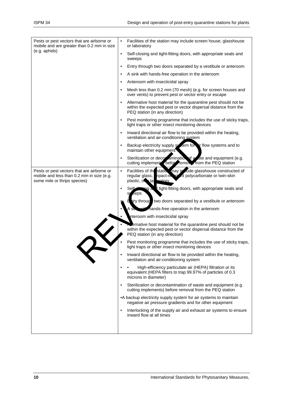| Pests or pest vectors that are airborne or<br>mobile and are greater than 0.2 mm in size                                | $\bullet$<br>Facilities of the station may include screen house, glasshouse<br>or laboratory                                                                                     |
|-------------------------------------------------------------------------------------------------------------------------|----------------------------------------------------------------------------------------------------------------------------------------------------------------------------------|
| (e.g. aphids)                                                                                                           | Self-closing and tight-fitting doors, with appropriate seals and<br>$\bullet$<br>sweeps                                                                                          |
|                                                                                                                         | Entry through two doors separated by a vestibule or anteroom<br>$\bullet$                                                                                                        |
|                                                                                                                         | A sink with hands-free operation in the anteroom<br>$\bullet$                                                                                                                    |
|                                                                                                                         | Anteroom with insecticidal spray<br>$\bullet$                                                                                                                                    |
|                                                                                                                         | Mesh less than 0.2 mm (70 mesh) (e.g. for screen houses and<br>$\bullet$<br>over vents) to prevent pest or vector entry or escape                                                |
|                                                                                                                         | Alternative host material for the quarantine pest should not be<br>$\bullet$<br>within the expected pest or vector dispersal distance from the<br>PEQ station (in any direction) |
|                                                                                                                         | Pest monitoring programme that includes the use of sticky traps,<br>$\bullet$<br>light traps or other insect monitoring devices                                                  |
|                                                                                                                         | Inward directional air flow to be provided within the heating,<br>$\bullet$<br>ventilation and air-conditioning system                                                           |
|                                                                                                                         | Backup electricity supply system for ir flow systems and to<br>$\bullet$<br>maintain other equipment                                                                             |
|                                                                                                                         | Sterilization or decorpamination of waste and equipment (e.g.<br>$\bullet$<br>cutting implement before remove from the PEQ station                                               |
| Pests or pest vectors that are airborne or<br>mobile and less than 0.2 mm in size (e.g.<br>some mite or thrips species) | Facilities of the static may in Jude glasshouse constructed of<br>$\bullet$<br>regular glass, npact-resist int polycarbonate or twin-skin<br>plastic, on lal vatory              |
|                                                                                                                         | tight-fitting doors, with appropriate seals and<br>Self⊿<br>ring a<br>$\bullet$<br>eeps<br>S۷                                                                                    |
|                                                                                                                         | Eury throug two doors separated by a vestibule or anteroom                                                                                                                       |
|                                                                                                                         | Anands-free operation in the anteroom                                                                                                                                            |
|                                                                                                                         | nteroom with insecticidal spray                                                                                                                                                  |
|                                                                                                                         | ernative host material for the quarantine pest should not be<br>within the expected pest or vector dispersal distance from the<br>PEQ station (in any direction)                 |
|                                                                                                                         | Pest monitoring programme that includes the use of sticky traps,<br>light traps or other insect monitoring devices                                                               |
|                                                                                                                         | Inward directional air flow to be provided within the heating,<br>$\bullet$<br>ventilation and air-conditioning system                                                           |
|                                                                                                                         | High-efficiency particulate air (HEPA) filtration or its<br>$\bullet$<br>equivalent (HEPA filters to trap 99.97% of particles of 0.3<br>microns in diameter)                     |
|                                                                                                                         | Sterilization or decontamination of waste and equipment (e.g.<br>$\bullet$<br>cutting implements) before removal from the PEQ station                                            |
|                                                                                                                         | • A backup electricity supply system for air systems to maintain<br>negative air pressure gradients and for other equipment                                                      |
|                                                                                                                         | Interlocking of the supply air and exhaust air systems to ensure<br>$\bullet$<br>inward flow at all times                                                                        |
|                                                                                                                         |                                                                                                                                                                                  |